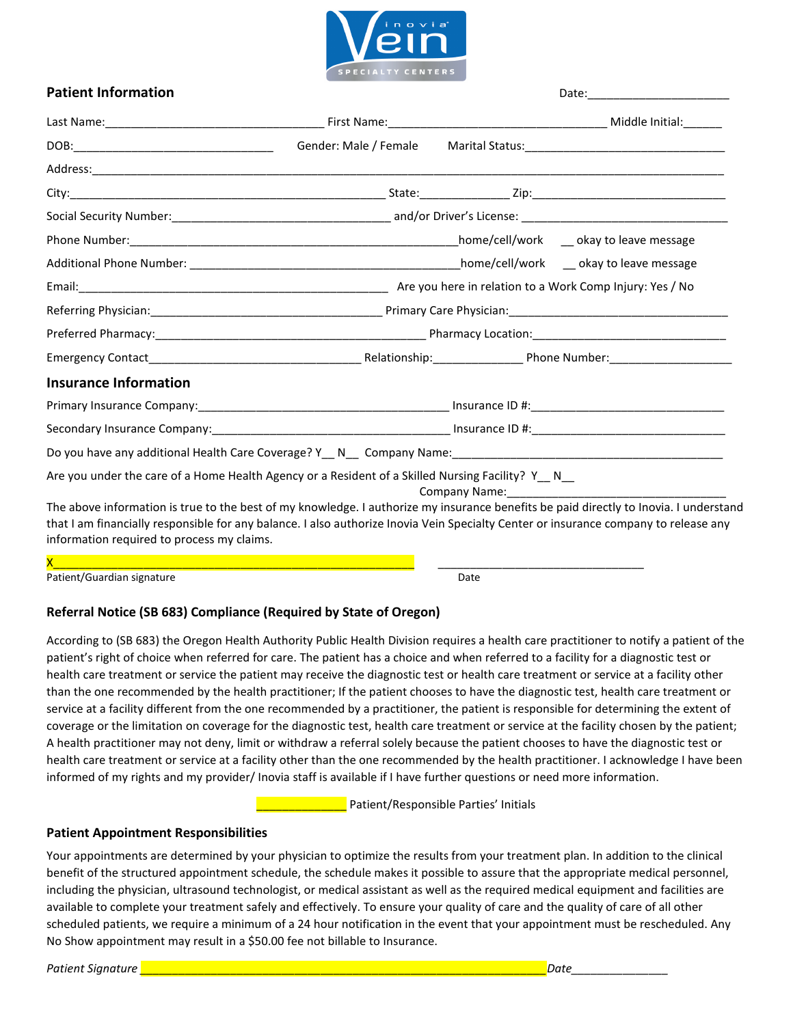

# **Patient Information**  Date:

|                                                                                                                                                                                                                                                                                                                             | Gender: Male / Female |                                 |  |
|-----------------------------------------------------------------------------------------------------------------------------------------------------------------------------------------------------------------------------------------------------------------------------------------------------------------------------|-----------------------|---------------------------------|--|
|                                                                                                                                                                                                                                                                                                                             |                       |                                 |  |
|                                                                                                                                                                                                                                                                                                                             |                       |                                 |  |
|                                                                                                                                                                                                                                                                                                                             |                       |                                 |  |
|                                                                                                                                                                                                                                                                                                                             |                       |                                 |  |
|                                                                                                                                                                                                                                                                                                                             |                       |                                 |  |
|                                                                                                                                                                                                                                                                                                                             |                       |                                 |  |
|                                                                                                                                                                                                                                                                                                                             |                       |                                 |  |
|                                                                                                                                                                                                                                                                                                                             |                       |                                 |  |
|                                                                                                                                                                                                                                                                                                                             |                       |                                 |  |
| <b>Insurance Information</b>                                                                                                                                                                                                                                                                                                |                       |                                 |  |
|                                                                                                                                                                                                                                                                                                                             |                       |                                 |  |
|                                                                                                                                                                                                                                                                                                                             |                       |                                 |  |
|                                                                                                                                                                                                                                                                                                                             |                       |                                 |  |
| Are you under the care of a Home Health Agency or a Resident of a Skilled Nursing Facility? Y__N_                                                                                                                                                                                                                           |                       | Company Name: The company Name: |  |
| The above information is true to the best of my knowledge. I authorize my insurance benefits be paid directly to Inovia. I understand<br>that I am financially responsible for any balance. I also authorize Inovia Vein Specialty Center or insurance company to release any<br>information required to process my claims. |                       |                                 |  |

X\_\_\_\_\_\_\_\_\_\_\_\_\_\_\_\_\_\_\_\_\_\_\_\_\_\_\_\_\_\_\_\_\_\_\_\_\_\_\_\_\_\_\_\_\_\_\_\_\_\_\_\_\_\_\_\_ \_\_\_\_\_\_\_\_\_\_\_\_\_\_\_\_\_\_\_\_\_\_\_\_\_\_\_\_\_\_\_\_

Patient/Guardian signature **Date of Australian Structure** Date Date of Patient Australian Date

### **Referral Notice (SB 683) Compliance (Required by State of Oregon)**

According to (SB 683) the Oregon Health Authority Public Health Division requires a health care practitioner to notify a patient of the patient's right of choice when referred for care. The patient has a choice and when referred to a facility for a diagnostic test or health care treatment or service the patient may receive the diagnostic test or health care treatment or service at a facility other than the one recommended by the health practitioner; If the patient chooses to have the diagnostic test, health care treatment or service at a facility different from the one recommended by a practitioner, the patient is responsible for determining the extent of coverage or the limitation on coverage for the diagnostic test, health care treatment or service at the facility chosen by the patient; A health practitioner may not deny, limit or withdraw a referral solely because the patient chooses to have the diagnostic test or health care treatment or service at a facility other than the one recommended by the health practitioner. I acknowledge I have been informed of my rights and my provider/ Inovia staff is available if I have further questions or need more information.

\_\_\_\_\_\_\_\_\_\_\_\_\_\_ Patient/Responsible Parties' Initials

#### **Patient Appointment Responsibilities**

Your appointments are determined by your physician to optimize the results from your treatment plan. In addition to the clinical benefit of the structured appointment schedule, the schedule makes it possible to assure that the appropriate medical personnel, including the physician, ultrasound technologist, or medical assistant as well as the required medical equipment and facilities are available to complete your treatment safely and effectively. To ensure your quality of care and the quality of care of all other scheduled patients, we require a minimum of a 24 hour notification in the event that your appointment must be rescheduled. Any No Show appointment may result in a \$50.00 fee not billable to Insurance.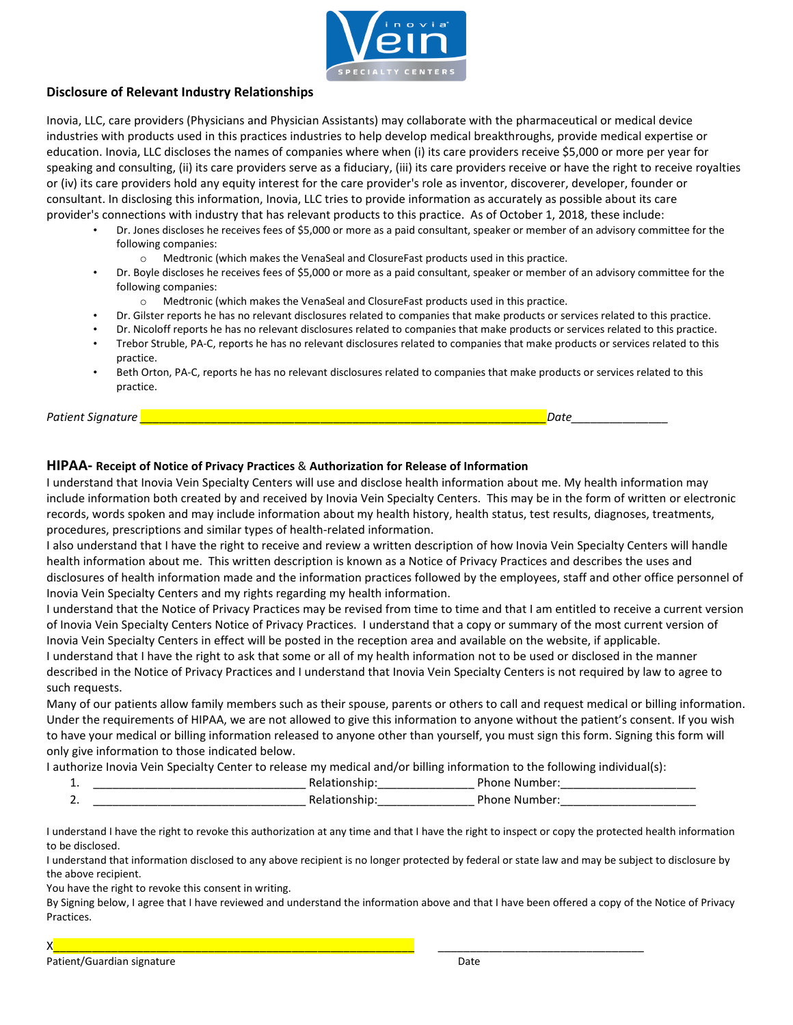

#### **Disclosure of Relevant Industry Relationships**

Inovia, LLC, care providers (Physicians and Physician Assistants) may collaborate with the pharmaceutical or medical device industries with products used in this practices industries to help develop medical breakthroughs, provide medical expertise or education. Inovia, LLC discloses the names of companies where when (i) its care providers receive \$5,000 or more per year for speaking and consulting, (ii) its care providers serve as a fiduciary, (iii) its care providers receive or have the right to receive royalties or (iv) its care providers hold any equity interest for the care provider's role as inventor, discoverer, developer, founder or consultant. In disclosing this information, Inovia, LLC tries to provide information as accurately as possible about its care provider's connections with industry that has relevant products to this practice. As of October 1, 2018, these include:

- Dr. Jones discloses he receives fees of \$5,000 or more as a paid consultant, speaker or member of an advisory committee for the following companies:
	- o Medtronic (which makes the VenaSeal and ClosureFast products used in this practice.
- Dr. Boyle discloses he receives fees of \$5,000 or more as a paid consultant, speaker or member of an advisory committee for the following companies:
	- o Medtronic (which makes the VenaSeal and ClosureFast products used in this practice.
- Dr. Gilster reports he has no relevant disclosures related to companies that make products or services related to this practice.
- Dr. Nicoloff reports he has no relevant disclosures related to companies that make products or services related to this practice.
- Trebor Struble, PA-C, reports he has no relevant disclosures related to companies that make products or services related to this practice.
- Beth Orton, PA-C, reports he has no relevant disclosures related to companies that make products or services related to this practice.

*Patient Signature \_\_\_\_\_\_\_\_\_\_\_\_\_\_\_\_\_\_\_\_\_\_\_\_\_\_\_\_\_\_\_\_\_\_\_\_\_\_\_\_\_\_\_\_\_\_\_\_\_\_\_\_\_\_\_\_\_\_\_\_\_\_\_Date\_\_\_\_\_\_\_\_\_\_\_\_\_\_\_*

#### **HIPAA- Receipt of Notice of Privacy Practices** & **Authorization for Release of Information**

I understand that Inovia Vein Specialty Centers will use and disclose health information about me. My health information may include information both created by and received by Inovia Vein Specialty Centers. This may be in the form of written or electronic records, words spoken and may include information about my health history, health status, test results, diagnoses, treatments, procedures, prescriptions and similar types of health-related information.

I also understand that I have the right to receive and review a written description of how Inovia Vein Specialty Centers will handle health information about me. This written description is known as a Notice of Privacy Practices and describes the uses and disclosures of health information made and the information practices followed by the employees, staff and other office personnel of Inovia Vein Specialty Centers and my rights regarding my health information.

I understand that the Notice of Privacy Practices may be revised from time to time and that I am entitled to receive a current version of Inovia Vein Specialty Centers Notice of Privacy Practices. I understand that a copy or summary of the most current version of Inovia Vein Specialty Centers in effect will be posted in the reception area and available on the website, if applicable.

I understand that I have the right to ask that some or all of my health information not to be used or disclosed in the manner described in the Notice of Privacy Practices and I understand that Inovia Vein Specialty Centers is not required by law to agree to such requests.

Many of our patients allow family members such as their spouse, parents or others to call and request medical or billing information. Under the requirements of HIPAA, we are not allowed to give this information to anyone without the patient's consent. If you wish to have your medical or billing information released to anyone other than yourself, you must sign this form. Signing this form will only give information to those indicated below.

I authorize Inovia Vein Specialty Center to release my medical and/or billing information to the following individual(s):

| . |  |
|---|--|
| - |  |

I understand I have the right to revoke this authorization at any time and that I have the right to inspect or copy the protected health information to be disclosed.

I understand that information disclosed to any above recipient is no longer protected by federal or state law and may be subject to disclosure by the above recipient.

You have the right to revoke this consent in writing.

By Signing below, I agree that I have reviewed and understand the information above and that I have been offered a copy of the Notice of Privacy Practices.

X\_\_\_\_\_\_\_\_\_\_\_\_\_\_\_\_\_\_\_\_\_\_\_\_\_\_\_\_\_\_\_\_\_\_\_\_\_\_\_\_\_\_\_\_\_\_\_\_\_\_\_\_\_\_\_\_ \_\_\_\_\_\_\_\_\_\_\_\_\_\_\_\_\_\_\_\_\_\_\_\_\_\_\_\_\_\_\_\_

Patient/Guardian signature **Date of Australian Structure** Date Date of Patient Australian Date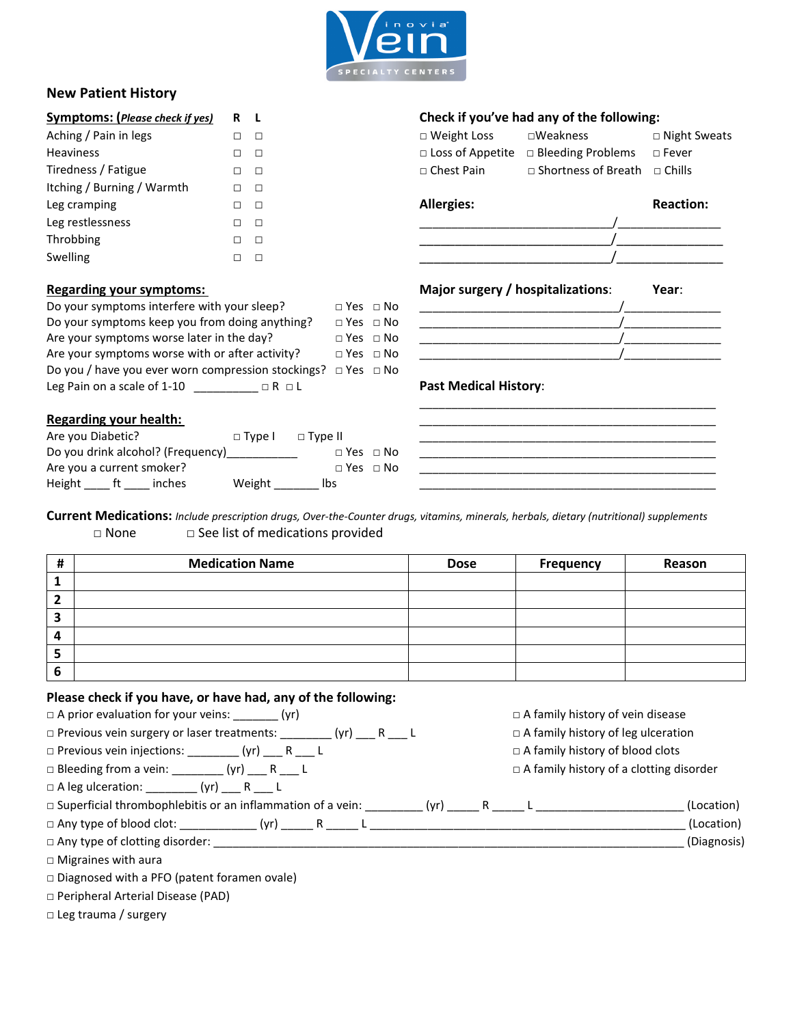

## **New Patient History**

| <b>Symptoms:</b> (Please check if yes) |   | R L           |                         | Check if you've had any of the following: |                  |
|----------------------------------------|---|---------------|-------------------------|-------------------------------------------|------------------|
| Aching / Pain in legs                  | П | $\Box$        | $\Box$ Weight Loss      | $\square$ Weakness                        | $\Box$ Night Sw  |
| <b>Heaviness</b>                       | П | $\Box$        | $\Box$ Loss of Appetite | □ Bleeding Problems                       | $\Box$ Fever     |
| Tiredness / Fatigue                    |   | $\Box$ $\Box$ | $\Box$ Chest Pain       | □ Shortness of Breath                     | $\sqcap$ Chills  |
| Itching / Burning / Warmth             | П | $\Box$        |                         |                                           |                  |
| Leg cramping                           | п | $\Box$        | <b>Allergies:</b>       |                                           | <b>Reaction:</b> |
| Leg restlessness                       | П | $\Box$        |                         |                                           |                  |
| Throbbing                              | П | $\Box$        |                         |                                           |                  |
| Swelling                               |   | П             |                         |                                           |                  |

| Do your symptoms interfere with your sleep?                             | $\Box$ Yes $\Box$ No |                              |  |
|-------------------------------------------------------------------------|----------------------|------------------------------|--|
| Do your symptoms keep you from doing anything?                          | $\Box$ Yes $\Box$ No |                              |  |
| Are your symptoms worse later in the day?                               | $\Box$ Yes $\Box$ No |                              |  |
| Are your symptoms worse with or after activity?                         | $\Box$ Yes $\Box$ No |                              |  |
| Do you / have you ever worn compression stockings? $\Box$ Yes $\Box$ No |                      |                              |  |
| Leg Pain on a scale of 1-10<br>$\Box$ R $\Box$ L                        |                      | <b>Past Medical History:</b> |  |

### **Regarding your health:** \_\_\_\_\_\_\_\_\_\_\_\_\_\_\_\_\_\_\_\_\_\_\_\_\_\_\_\_\_\_\_\_\_\_\_\_\_\_\_\_\_\_\_\_\_\_

| Are you Diabetic?         |                                   | $\Box$ Type $\Box$ $\Box$ Type II |                      |  |
|---------------------------|-----------------------------------|-----------------------------------|----------------------|--|
|                           | Do you drink alcohol? (Frequency) |                                   | $\Box$ Yes $\Box$ No |  |
| Are you a current smoker? |                                   |                                   | $\Box$ Yes $\Box$ No |  |
| Height ft                 | inches                            | Weight                            | lbs                  |  |

#### **Symptoms: (***Please check if yes)* **R L Check if you've had any of the following:**

| Aching / Pain in legs | $\Box$ $\Box$ | $\Box$ Weight Loss | $\square$ Weakness                                            | □ Night Sweats |
|-----------------------|---------------|--------------------|---------------------------------------------------------------|----------------|
| <b>Heaviness</b>      | $\Box$        |                    | $\Box$ Loss of Appetite $\Box$ Bleeding Problems $\Box$ Fever |                |
| Tiredness / Fatigue   | $\Box$ $\Box$ | □ Chest Pain       | □ Shortness of Breath □ Chills                                |                |

# Leg restlessness □ □ \_\_\_\_\_\_\_\_\_\_\_\_\_\_\_\_\_\_\_\_\_\_\_\_\_\_\_\_\_\_/\_\_\_\_\_\_\_\_\_\_\_\_\_\_\_\_ Throbbing □ □ \_\_\_\_\_\_\_\_\_\_\_\_\_\_\_\_\_\_\_\_\_\_\_\_\_\_\_/\_\_\_\_\_\_\_\_\_\_\_\_\_\_\_

# **Regarding your symptoms: Major surgery / hospitalizations**: **Year**:

| ________________         |  |
|--------------------------|--|
| ________________<br>____ |  |
| _______________________  |  |
|                          |  |

\_\_\_\_\_\_\_\_\_\_\_\_\_\_\_\_\_\_\_\_\_\_\_\_\_\_\_\_\_\_\_\_\_\_\_\_\_\_\_\_\_\_\_\_\_\_

 $\overline{\phantom{a}}$  ,  $\overline{\phantom{a}}$  ,  $\overline{\phantom{a}}$  ,  $\overline{\phantom{a}}$  ,  $\overline{\phantom{a}}$  ,  $\overline{\phantom{a}}$  ,  $\overline{\phantom{a}}$  ,  $\overline{\phantom{a}}$  ,  $\overline{\phantom{a}}$  ,  $\overline{\phantom{a}}$  ,  $\overline{\phantom{a}}$  ,  $\overline{\phantom{a}}$  ,  $\overline{\phantom{a}}$  ,  $\overline{\phantom{a}}$  ,  $\overline{\phantom{a}}$  ,  $\overline{\phantom{a}}$  $\overline{\phantom{a}}$  , and the set of the set of the set of the set of the set of the set of the set of the set of the set of the set of the set of the set of the set of the set of the set of the set of the set of the set of the s

 $\frac{1}{2}$  ,  $\frac{1}{2}$  ,  $\frac{1}{2}$  ,  $\frac{1}{2}$  ,  $\frac{1}{2}$  ,  $\frac{1}{2}$  ,  $\frac{1}{2}$  ,  $\frac{1}{2}$  ,  $\frac{1}{2}$  ,  $\frac{1}{2}$  ,  $\frac{1}{2}$  ,  $\frac{1}{2}$  ,  $\frac{1}{2}$  ,  $\frac{1}{2}$  ,  $\frac{1}{2}$  ,  $\frac{1}{2}$  ,  $\frac{1}{2}$  ,  $\frac{1}{2}$  ,  $\frac{1$ 

#### **Past Medical History:**

**Current Medications:** *Include prescription drugs, Over-the-Counter drugs, vitamins, minerals, herbals, dietary (nutritional) supplements* □ None □ See list of medications provided

| # | <b>Medication Name</b> | <b>Dose</b> | Frequency | Reason |
|---|------------------------|-------------|-----------|--------|
| л |                        |             |           |        |
|   |                        |             |           |        |
| 3 |                        |             |           |        |
| 4 |                        |             |           |        |
| э |                        |             |           |        |
| o |                        |             |           |        |

#### **Please check if you have, or have had, any of the following:**

| $\Box$ A prior evaluation for your veins: ________ (yr)                       | $\Box$ A family history of vein disease        |  |
|-------------------------------------------------------------------------------|------------------------------------------------|--|
| $\Box$ Previous vein surgery or laser treatments: ________(yr) _____ R ____ L | $\Box$ A family history of leg ulceration      |  |
| $\Box$ Previous vein injections: _________(yr) ____ R ___ L                   | $\Box$ A family history of blood clots         |  |
| $\Box$ Bleeding from a vein: ________ (yr) ___ R ___ L                        | $\Box$ A family history of a clotting disorder |  |
| $\Box$ A leg ulceration: _________ (yr) _____ R ____ L                        |                                                |  |
| $\Box$ Superficial thrombophlebitis or an inflammation of a vein: $(yr)$ R L  | (Location)                                     |  |
|                                                                               | (Location)                                     |  |
| $\Box$ Any type of clotting disorder:                                         | (Diagnosis)                                    |  |
| $\Box$ Migraines with aura                                                    |                                                |  |
| □ Diagnosed with a PFO (patent foramen ovale)                                 |                                                |  |

□ Peripheral Arterial Disease (PAD)

□ Leg trauma / surgery